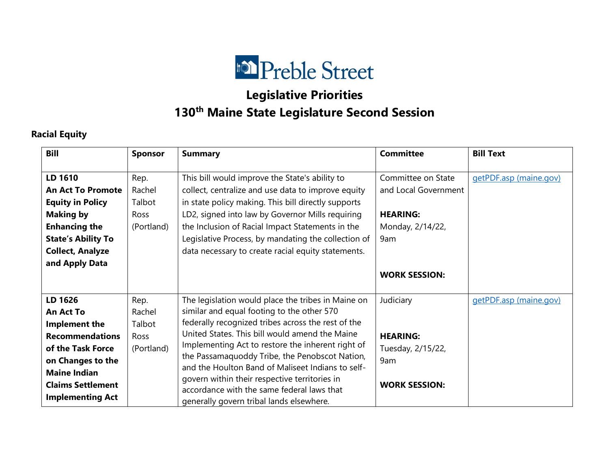

# **Legislative Priorities 130th Maine State Legislature Second Session**

#### **Racial Equity**

| <b>Bill</b>                                                                                                                                                                                    | <b>Sponsor</b>                                        | <b>Summary</b>                                                                                                                                                                                                                                                                                                                                                                                                                                                                                                  | <b>Committee</b>                                                                                                 | <b>Bill Text</b>       |
|------------------------------------------------------------------------------------------------------------------------------------------------------------------------------------------------|-------------------------------------------------------|-----------------------------------------------------------------------------------------------------------------------------------------------------------------------------------------------------------------------------------------------------------------------------------------------------------------------------------------------------------------------------------------------------------------------------------------------------------------------------------------------------------------|------------------------------------------------------------------------------------------------------------------|------------------------|
| LD 1610<br><b>An Act To Promote</b><br><b>Equity in Policy</b><br><b>Making by</b><br><b>Enhancing the</b><br><b>State's Ability To</b><br><b>Collect, Analyze</b><br>and Apply Data           | Rep.<br>Rachel<br>Talbot<br>Ross<br>(Portland)        | This bill would improve the State's ability to<br>collect, centralize and use data to improve equity<br>in state policy making. This bill directly supports<br>LD2, signed into law by Governor Mills requiring<br>the Inclusion of Racial Impact Statements in the<br>Legislative Process, by mandating the collection of<br>data necessary to create racial equity statements.                                                                                                                                | Committee on State<br>and Local Government<br><b>HEARING:</b><br>Monday, 2/14/22,<br>9am<br><b>WORK SESSION:</b> | getPDF.asp (maine.gov) |
| LD 1626<br><b>An Act To</b><br>Implement the<br><b>Recommendations</b><br>of the Task Force<br>on Changes to the<br><b>Maine Indian</b><br><b>Claims Settlement</b><br><b>Implementing Act</b> | Rep.<br>Rachel<br>Talbot<br><b>Ross</b><br>(Portland) | The legislation would place the tribes in Maine on<br>similar and equal footing to the other 570<br>federally recognized tribes across the rest of the<br>United States. This bill would amend the Maine<br>Implementing Act to restore the inherent right of<br>the Passamaquoddy Tribe, the Penobscot Nation,<br>and the Houlton Band of Maliseet Indians to self-<br>govern within their respective territories in<br>accordance with the same federal laws that<br>generally govern tribal lands elsewhere. | Judiciary<br><b>HEARING:</b><br>Tuesday, 2/15/22,<br>9am<br><b>WORK SESSION:</b>                                 | getPDF.asp (maine.gov) |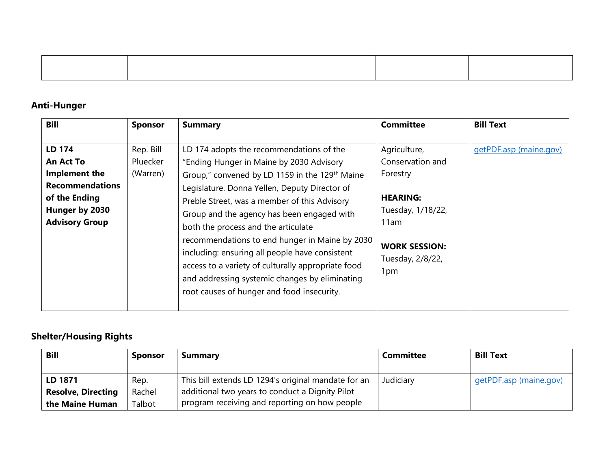### **Anti-Hunger**

| <b>Bill</b>                                                                                                                       | <b>Sponsor</b>                    | <b>Summary</b>                                                                                                                                                                                                                                                                                                                                                                                                                                                                                                                                                                                     | <b>Committee</b>                                                                                                                                | <b>Bill Text</b>       |
|-----------------------------------------------------------------------------------------------------------------------------------|-----------------------------------|----------------------------------------------------------------------------------------------------------------------------------------------------------------------------------------------------------------------------------------------------------------------------------------------------------------------------------------------------------------------------------------------------------------------------------------------------------------------------------------------------------------------------------------------------------------------------------------------------|-------------------------------------------------------------------------------------------------------------------------------------------------|------------------------|
| LD 174<br><b>An Act To</b><br>Implement the<br><b>Recommendations</b><br>of the Ending<br>Hunger by 2030<br><b>Advisory Group</b> | Rep. Bill<br>Pluecker<br>(Warren) | LD 174 adopts the recommendations of the<br>"Ending Hunger in Maine by 2030 Advisory<br>Group," convened by LD 1159 in the 129 <sup>th</sup> Maine<br>Legislature. Donna Yellen, Deputy Director of<br>Preble Street, was a member of this Advisory<br>Group and the agency has been engaged with<br>both the process and the articulate<br>recommendations to end hunger in Maine by 2030<br>including: ensuring all people have consistent<br>access to a variety of culturally appropriate food<br>and addressing systemic changes by eliminating<br>root causes of hunger and food insecurity. | Agriculture,<br>Conservation and<br>Forestry<br><b>HEARING:</b><br>Tuesday, 1/18/22,<br>11am<br><b>WORK SESSION:</b><br>Tuesday, 2/8/22,<br>1pm | getPDF.asp (maine.gov) |

# **Shelter/Housing Rights**

| <b>Bill</b>               | <b>Sponsor</b> | <b>Summary</b>                                      | Committee | <b>Bill Text</b>       |
|---------------------------|----------------|-----------------------------------------------------|-----------|------------------------|
| LD 1871                   | Rep.           | This bill extends LD 1294's original mandate for an | Judiciary | getPDF.asp (maine.gov) |
| <b>Resolve, Directing</b> | Rachel         | additional two years to conduct a Dignity Pilot     |           |                        |
| the Maine Human           | Talbot         | program receiving and reporting on how people       |           |                        |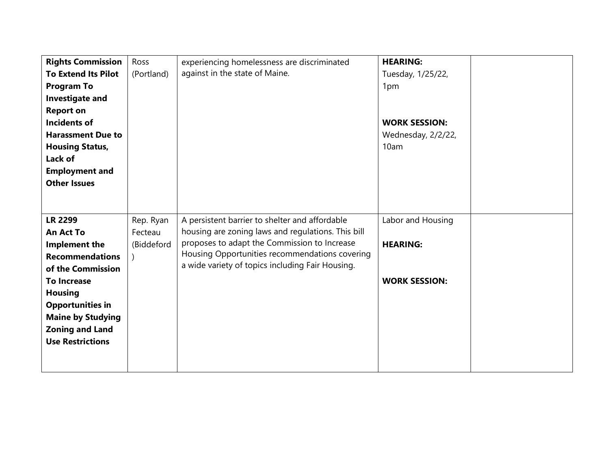| <b>Rights Commission</b>   | Ross       | experiencing homelessness are discriminated        | <b>HEARING:</b>      |  |
|----------------------------|------------|----------------------------------------------------|----------------------|--|
| <b>To Extend Its Pilot</b> | (Portland) | against in the state of Maine.                     | Tuesday, 1/25/22,    |  |
| <b>Program To</b>          |            |                                                    | 1pm                  |  |
| <b>Investigate and</b>     |            |                                                    |                      |  |
| <b>Report on</b>           |            |                                                    |                      |  |
| <b>Incidents of</b>        |            |                                                    | <b>WORK SESSION:</b> |  |
| <b>Harassment Due to</b>   |            |                                                    | Wednesday, 2/2/22,   |  |
| <b>Housing Status,</b>     |            |                                                    | 10am                 |  |
| Lack of                    |            |                                                    |                      |  |
| <b>Employment and</b>      |            |                                                    |                      |  |
| <b>Other Issues</b>        |            |                                                    |                      |  |
|                            |            |                                                    |                      |  |
|                            |            |                                                    |                      |  |
| <b>LR 2299</b>             | Rep. Ryan  | A persistent barrier to shelter and affordable     | Labor and Housing    |  |
| <b>An Act To</b>           | Fecteau    | housing are zoning laws and regulations. This bill |                      |  |
| <b>Implement the</b>       | (Biddeford | proposes to adapt the Commission to Increase       | <b>HEARING:</b>      |  |
| <b>Recommendations</b>     |            | Housing Opportunities recommendations covering     |                      |  |
| of the Commission          |            | a wide variety of topics including Fair Housing.   |                      |  |
| <b>To Increase</b>         |            |                                                    | <b>WORK SESSION:</b> |  |
| <b>Housing</b>             |            |                                                    |                      |  |
| <b>Opportunities in</b>    |            |                                                    |                      |  |
| <b>Maine by Studying</b>   |            |                                                    |                      |  |
| <b>Zoning and Land</b>     |            |                                                    |                      |  |
| <b>Use Restrictions</b>    |            |                                                    |                      |  |
|                            |            |                                                    |                      |  |
|                            |            |                                                    |                      |  |